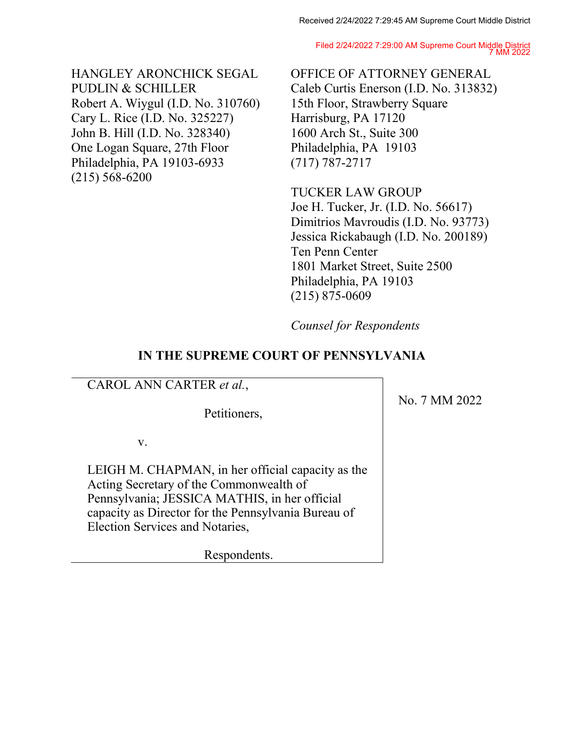Filed 2/24/2022 7:29:00 AM Supreme Court Middle District 7 MM 2022

HANGLEY ARONCHICK SEGAL PUDLIN & SCHILLER Robert A. Wiygul (I.D. No. 310760) Cary L. Rice (I.D. No. 325227) John B. Hill (I.D. No. 328340) One Logan Square, 27th Floor Philadelphia, PA 19103-6933 (215) 568-6200

OFFICE OF ATTORNEY GENERAL Caleb Curtis Enerson (I.D. No. 313832) 15th Floor, Strawberry Square Harrisburg, PA 17120 1600 Arch St., Suite 300 Philadelphia, PA 19103 (717) 787-2717

TUCKER LAW GROUP Joe H. Tucker, Jr. (I.D. No. 56617) Dimitrios Mavroudis (I.D. No. 93773) Jessica Rickabaugh (I.D. No. 200189) Ten Penn Center 1801 Market Street, Suite 2500 Philadelphia, PA 19103 (215) 875-0609

*Counsel for Respondents*

## **IN THE SUPREME COURT OF PENNSYLVANIA**

CAROL ANN CARTER *et al.*,

Petitioners,

v.

LEIGH M. CHAPMAN, in her official capacity as the Acting Secretary of the Commonwealth of Pennsylvania; JESSICA MATHIS, in her official capacity as Director for the Pennsylvania Bureau of Election Services and Notaries,

Respondents.

No. 7 MM 2022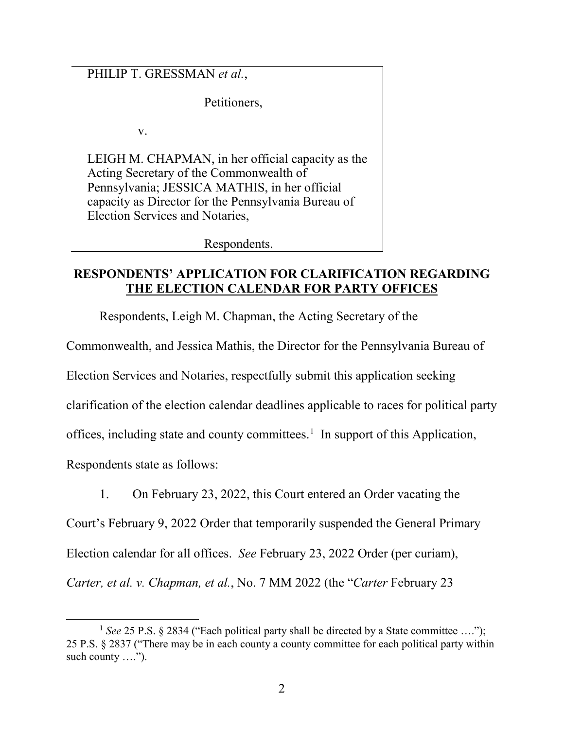PHILIP T. GRESSMAN *et al.*,

Petitioners,

v.

LEIGH M. CHAPMAN, in her official capacity as the Acting Secretary of the Commonwealth of Pennsylvania; JESSICA MATHIS, in her official capacity as Director for the Pennsylvania Bureau of Election Services and Notaries,

Respondents.

#### **RESPONDENTS' APPLICATION FOR CLARIFICATION REGARDING THE ELECTION CALENDAR FOR PARTY OFFICES**

Respondents, Leigh M. Chapman, the Acting Secretary of the

Commonwealth, and Jessica Mathis, the Director for the Pennsylvania Bureau of

Election Services and Notaries, respectfully submit this application seeking

clarification of the election calendar deadlines applicable to races for political party

offices, including state and county committees. [1](#page-1-0) In support of this Application,

Respondents state as follows:

1. On February 23, 2022, this Court entered an Order vacating the

Court's February 9, 2022 Order that temporarily suspended the General Primary

Election calendar for all offices. *See* February 23, 2022 Order (per curiam),

*Carter, et al. v. Chapman, et al.*, No. 7 MM 2022 (the "*Carter* February 23

<span id="page-1-0"></span><sup>&</sup>lt;sup>1</sup> See 25 P.S. § 2834 ("Each political party shall be directed by a State committee ...."); 25 P.S. § 2837 ("There may be in each county a county committee for each political party within such county ....").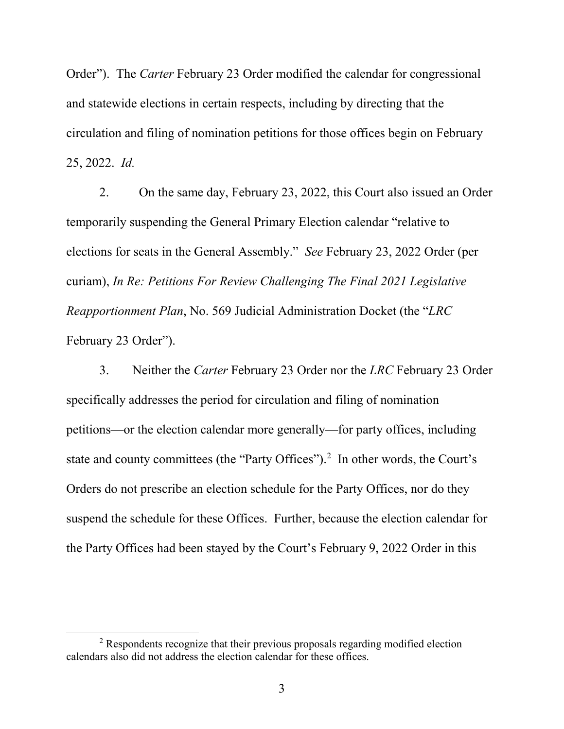Order"). The *Carter* February 23 Order modified the calendar for congressional and statewide elections in certain respects, including by directing that the circulation and filing of nomination petitions for those offices begin on February 25, 2022. *Id.*

2. On the same day, February 23, 2022, this Court also issued an Order temporarily suspending the General Primary Election calendar "relative to elections for seats in the General Assembly." *See* February 23, 2022 Order (per curiam), *In Re: Petitions For Review Challenging The Final 2021 Legislative Reapportionment Plan*, No. 569 Judicial Administration Docket (the "*LRC* February 23 Order").

3. Neither the *Carter* February 23 Order nor the *LRC* February 23 Order specifically addresses the period for circulation and filing of nomination petitions—or the election calendar more generally—for party offices, including state and county committees (the "Party Offices").<sup>[2](#page-2-0)</sup> In other words, the Court's Orders do not prescribe an election schedule for the Party Offices, nor do they suspend the schedule for these Offices. Further, because the election calendar for the Party Offices had been stayed by the Court's February 9, 2022 Order in this

<span id="page-2-0"></span> $2$  Respondents recognize that their previous proposals regarding modified election calendars also did not address the election calendar for these offices.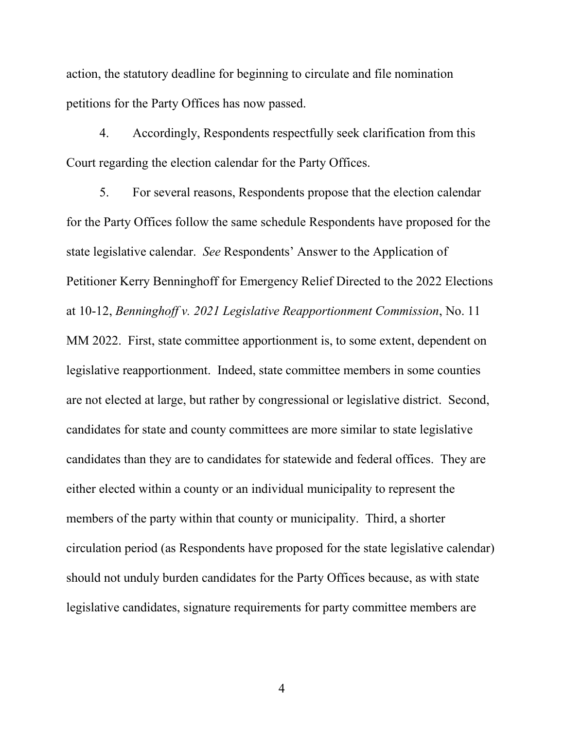action, the statutory deadline for beginning to circulate and file nomination petitions for the Party Offices has now passed.

4. Accordingly, Respondents respectfully seek clarification from this Court regarding the election calendar for the Party Offices.

5. For several reasons, Respondents propose that the election calendar for the Party Offices follow the same schedule Respondents have proposed for the state legislative calendar. *See* Respondents' Answer to the Application of Petitioner Kerry Benninghoff for Emergency Relief Directed to the 2022 Elections at 10-12, *Benninghoff v. 2021 Legislative Reapportionment Commission*, No. 11 MM 2022. First, state committee apportionment is, to some extent, dependent on legislative reapportionment. Indeed, state committee members in some counties are not elected at large, but rather by congressional or legislative district. Second, candidates for state and county committees are more similar to state legislative candidates than they are to candidates for statewide and federal offices. They are either elected within a county or an individual municipality to represent the members of the party within that county or municipality. Third, a shorter circulation period (as Respondents have proposed for the state legislative calendar) should not unduly burden candidates for the Party Offices because, as with state legislative candidates, signature requirements for party committee members are

4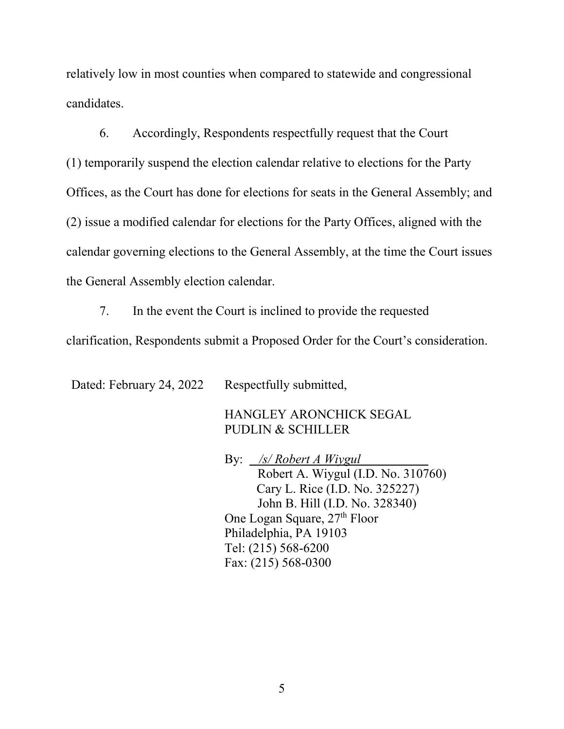relatively low in most counties when compared to statewide and congressional candidates.

6. Accordingly, Respondents respectfully request that the Court (1) temporarily suspend the election calendar relative to elections for the Party Offices, as the Court has done for elections for seats in the General Assembly; and (2) issue a modified calendar for elections for the Party Offices, aligned with the calendar governing elections to the General Assembly, at the time the Court issues the General Assembly election calendar.

7. In the event the Court is inclined to provide the requested clarification, Respondents submit a Proposed Order for the Court's consideration.

Dated: February 24, 2022 Respectfully submitted,

HANGLEY ARONCHICK SEGAL PUDLIN & SCHILLER

By: */s/ Robert A Wiygul* Robert A. Wiygul (I.D. No. 310760) Cary L. Rice (I.D. No. 325227) John B. Hill (I.D. No. 328340) One Logan Square, 27<sup>th</sup> Floor Philadelphia, PA 19103 Tel: (215) 568-6200 Fax: (215) 568-0300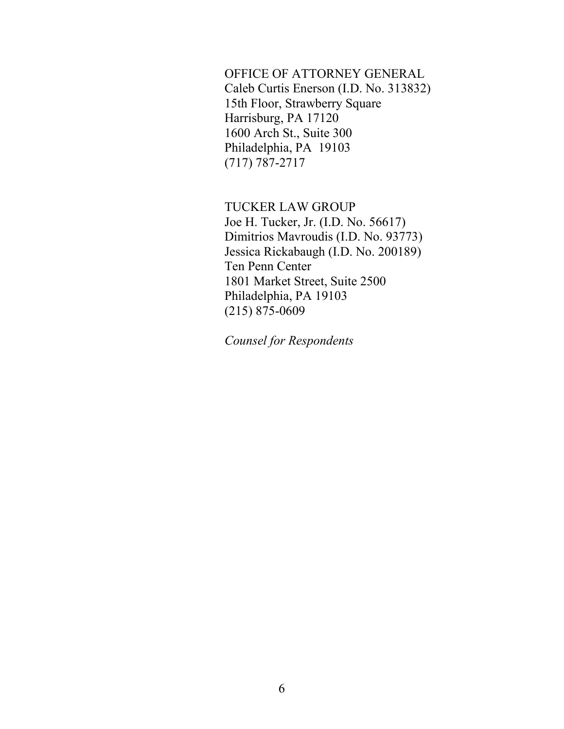OFFICE OF ATTORNEY GENERAL Caleb Curtis Enerson (I.D. No. 313832) 15th Floor, Strawberry Square Harrisburg, PA 17120 1600 Arch St., Suite 300 Philadelphia, PA 19103 (717) 787-2717

TUCKER LAW GROUP Joe H. Tucker, Jr. (I.D. No. 56617) Dimitrios Mavroudis (I.D. No. 93773) Jessica Rickabaugh (I.D. No. 200189) Ten Penn Center 1801 Market Street, Suite 2500 Philadelphia, PA 19103 (215) 875-0609

*Counsel for Respondents*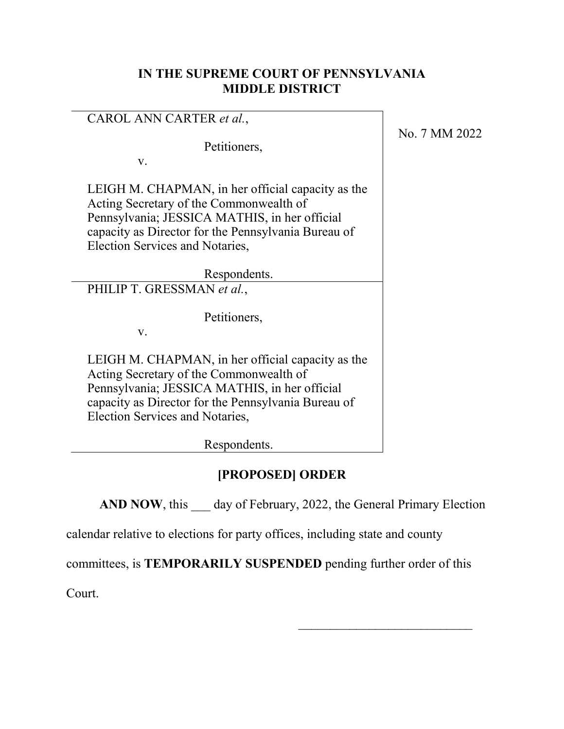#### **IN THE SUPREME COURT OF PENNSYLVANIA MIDDLE DISTRICT**

#### CAROL ANN CARTER *et al.*,

Petitioners,

v.

LEIGH M. CHAPMAN, in her official capacity as the Acting Secretary of the Commonwealth of Pennsylvania; JESSICA MATHIS, in her official capacity as Director for the Pennsylvania Bureau of Election Services and Notaries,

Respondents.

PHILIP T. GRESSMAN *et al.*,

Petitioners,

v.

LEIGH M. CHAPMAN, in her official capacity as the Acting Secretary of the Commonwealth of Pennsylvania; JESSICA MATHIS, in her official capacity as Director for the Pennsylvania Bureau of Election Services and Notaries,

Respondents.

# **[PROPOSED] ORDER**

**AND NOW**, this day of February, 2022, the General Primary Election

\_\_\_\_\_\_\_\_\_\_\_\_\_\_\_\_\_\_\_\_\_\_\_\_\_\_\_

calendar relative to elections for party offices, including state and county

committees, is **TEMPORARILY SUSPENDED** pending further order of this

Court.

No. 7 MM 2022